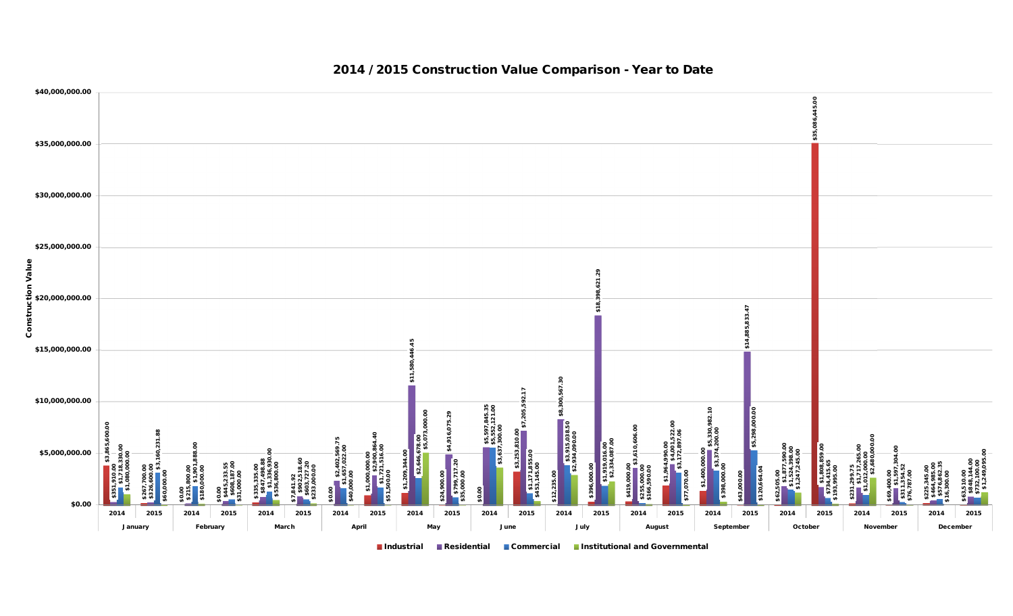

#### **2014 / 2015 Construction Value Comparison - Year to Date**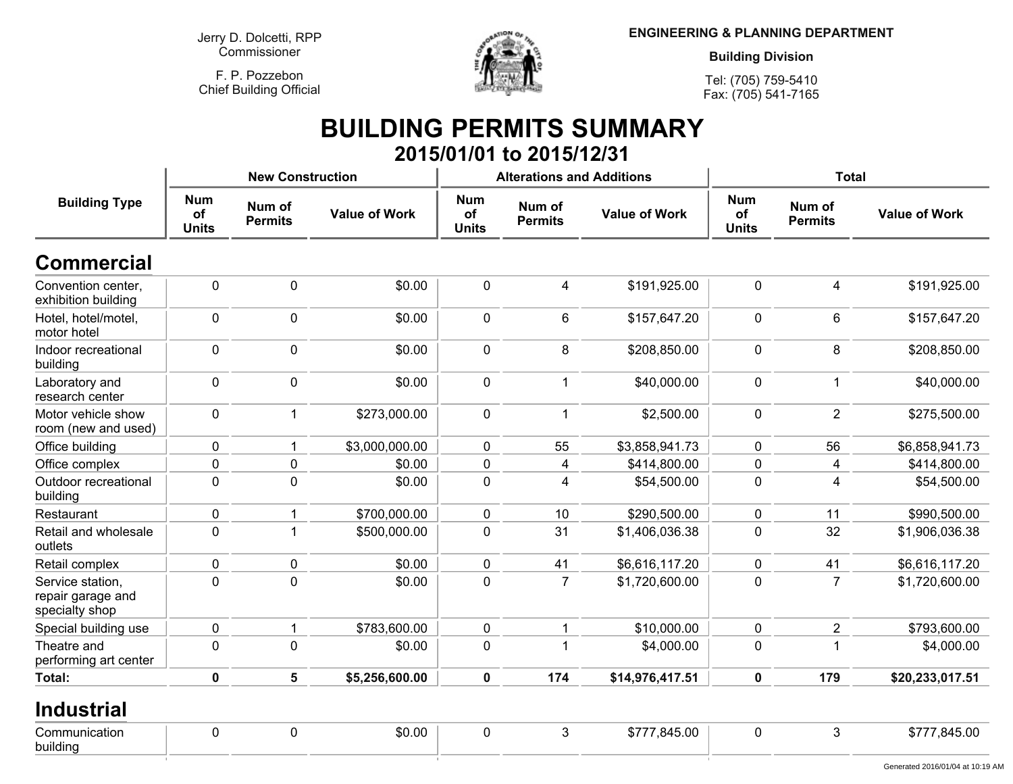**F. P. PozzebonChief Building Official**



**ENGINEERING & PLANNING DEPARTMENT**

**Building Division**

**Tel: (705) 759-5410Fax: (705) 541-7165**

# **BUILDING PERMITS SUMMARY 2015/01/01 to 2015/12/31**

|                                                         |                                  | <b>New Construction</b>  |                      |                                  | <b>Alterations and Additions</b> |                      | <b>Total</b>                     |                          |                                  |  |
|---------------------------------------------------------|----------------------------------|--------------------------|----------------------|----------------------------------|----------------------------------|----------------------|----------------------------------|--------------------------|----------------------------------|--|
| <b>Building Type</b>                                    | <b>Num</b><br>of<br><b>Units</b> | Num of<br><b>Permits</b> | <b>Value of Work</b> | <b>Num</b><br>of<br><b>Units</b> | Num of<br><b>Permits</b>         | <b>Value of Work</b> | <b>Num</b><br>of<br><b>Units</b> | Num of<br><b>Permits</b> | <b>Value of Work</b>             |  |
| <b>Commercial</b>                                       |                                  |                          |                      |                                  |                                  |                      |                                  |                          |                                  |  |
| Convention center,<br>exhibition building               | $\pmb{0}$                        | $\mathbf 0$              | \$0.00               | $\mathbf 0$                      | 4                                | \$191,925.00         | $\mathbf 0$                      | $\overline{4}$           | \$191,925.00                     |  |
| Hotel, hotel/motel,<br>motor hotel                      | $\mathbf 0$                      | $\mathbf 0$              | \$0.00               | $\mathbf 0$                      | 6                                | \$157,647.20         | $\mathbf 0$                      | $6\phantom{a}$           | \$157,647.20                     |  |
| Indoor recreational<br>building                         | $\mathbf 0$                      | $\mathbf 0$              | \$0.00               | $\mathbf 0$                      | 8                                | \$208,850.00         | $\mathbf 0$                      | 8                        | \$208,850.00                     |  |
| Laboratory and<br>research center                       | $\mathbf 0$                      | $\mathbf 0$              | \$0.00               | $\mathbf 0$                      | $\mathbf 1$                      | \$40,000.00          | $\mathbf 0$                      | $\mathbf{1}$             | \$40,000.00                      |  |
| Motor vehicle show<br>room (new and used)               | $\mathbf 0$                      | $\mathbf{1}$             | \$273,000.00         | $\mathbf 0$                      | $\mathbf{1}$                     | \$2,500.00           | $\mathbf 0$                      | $\overline{2}$           | \$275,500.00                     |  |
| Office building                                         | $\mathbf 0$                      | $\mathbf{1}$             | \$3,000,000.00       | $\mathbf 0$                      | 55                               | \$3,858,941.73       | $\mathbf 0$                      | 56                       | \$6,858,941.73                   |  |
| Office complex                                          | $\mathbf 0$                      | 0                        | \$0.00               | $\mathbf 0$                      | 4                                | \$414,800.00         | $\mathbf 0$                      | 4                        | \$414,800.00                     |  |
| Outdoor recreational<br>building                        | $\mathbf 0$                      | $\mathbf 0$              | \$0.00               | $\mathbf 0$                      | 4                                | \$54,500.00          | $\mathbf 0$                      | $\overline{4}$           | \$54,500.00                      |  |
| Restaurant                                              | 0                                | 1                        | \$700,000.00         | $\mathbf 0$                      | 10                               | \$290,500.00         | $\mathbf 0$                      | 11                       | \$990,500.00                     |  |
| Retail and wholesale<br>outlets                         | $\mathbf 0$                      |                          | \$500,000.00         | $\mathbf 0$                      | 31                               | \$1,406,036.38       | $\mathbf 0$                      | 32                       | \$1,906,036.38                   |  |
| Retail complex                                          | $\mathbf 0$                      | $\pmb{0}$                | \$0.00               | $\mathbf 0$                      | 41                               | \$6,616,117.20       | $\mathbf 0$                      | 41                       | \$6,616,117.20                   |  |
| Service station,<br>repair garage and<br>specialty shop | $\mathbf 0$                      | $\mathbf 0$              | \$0.00               | $\pmb{0}$                        | $\overline{7}$                   | \$1,720,600.00       | $\mathbf{0}$                     | $\overline{7}$           | \$1,720,600.00                   |  |
| Special building use                                    | $\mathbf 0$                      |                          | \$783,600.00         | $\mathbf 0$                      |                                  | \$10,000.00          | $\mathbf 0$                      | $\overline{2}$           | \$793,600.00                     |  |
| Theatre and<br>performing art center                    | $\mathbf 0$                      | $\mathbf 0$              | \$0.00               | $\mathbf 0$                      |                                  | \$4,000.00           | $\mathbf 0$                      | 1                        | \$4,000.00                       |  |
| Total:                                                  | $\mathbf 0$                      | 5                        | \$5,256,600.00       | $\mathbf 0$                      | 174                              | \$14,976,417.51      | $\mathbf 0$                      | 179                      | \$20,233,017.51                  |  |
| <b>Industrial</b>                                       |                                  |                          |                      |                                  |                                  |                      |                                  |                          |                                  |  |
| Communication<br>building                               | $\mathbf 0$                      | $\mathbf 0$              | \$0.00               | $\mathbf 0$                      | 3                                | \$777,845.00         | $\mathbf 0$                      | $\mathbf{3}$             | \$777,845.00                     |  |
|                                                         |                                  |                          |                      |                                  |                                  |                      |                                  |                          | Generated 2016/01/04 at 10:19 AM |  |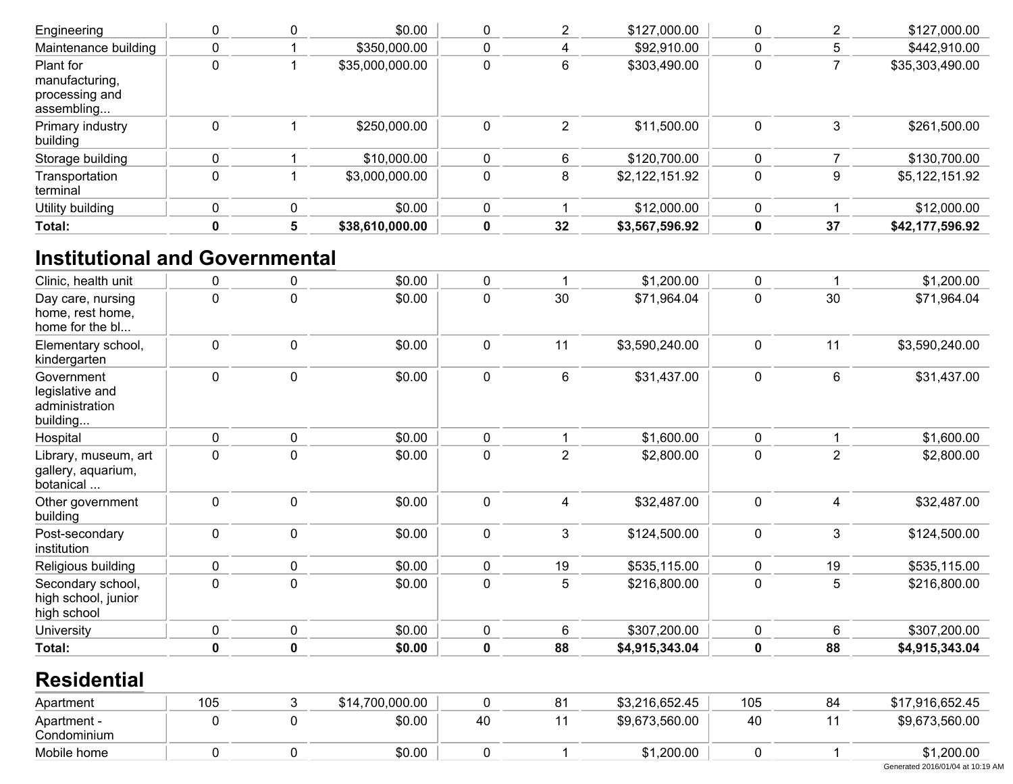| Engineering                                                 |          | \$0.00          |   |    | \$127,000.00   |   |    | \$127,000.00    |
|-------------------------------------------------------------|----------|-----------------|---|----|----------------|---|----|-----------------|
| Maintenance building                                        |          | \$350,000.00    |   |    | \$92,910.00    |   | 5  | \$442,910.00    |
| Plant for<br>manufacturing,<br>processing and<br>assembling |          | \$35,000,000.00 |   |    | \$303,490.00   | 0 |    | \$35,303,490.00 |
| Primary industry<br>building                                |          | \$250,000.00    | 0 |    | \$11,500.00    | 0 | 3  | \$261,500.00    |
| Storage building                                            |          | \$10,000.00     |   |    | \$120,700.00   |   |    | \$130,700.00    |
| Transportation<br>terminal                                  |          | \$3,000,000.00  |   |    | \$2,122,151.92 | 0 | 9  | \$5,122,151.92  |
| Utility building                                            | $\Omega$ | \$0.00          | 0 |    | \$12,000.00    | 0 |    | \$12,000.00     |
| Total:                                                      | 5        | \$38,610,000.00 |   | 32 | \$3,567,596.92 | 0 | 37 | \$42,177,596.92 |

# **Institutional and Governmental**

| Clinic, health unit                                         | 0   | 0           | \$0.00          | 0           | 1              | \$1,200.00     | 0   |                | \$1,200.00                       |
|-------------------------------------------------------------|-----|-------------|-----------------|-------------|----------------|----------------|-----|----------------|----------------------------------|
| Day care, nursing<br>home, rest home,<br>home for the bl    | 0   | 0           | \$0.00          | 0           | 30             | \$71,964.04    | 0   | 30             | \$71,964.04                      |
| Elementary school,<br>kindergarten                          | 0   | 0           | \$0.00          | $\mathbf 0$ | 11             | \$3,590,240.00 | 0   | 11             | \$3,590,240.00                   |
| Government<br>legislative and<br>administration<br>building | 0   | 0           | \$0.00          | $\pmb{0}$   | 6              | \$31,437.00    | 0   | 6              | \$31,437.00                      |
| Hospital                                                    | 0   | 0           | \$0.00          | 0           | 1              | \$1,600.00     | 0   |                | \$1,600.00                       |
| Library, museum, art<br>gallery, aquarium,<br>botanical     | 0   | 0           | \$0.00          | $\pmb{0}$   | $\overline{2}$ | \$2,800.00     | 0   | $\mathbf 2$    | \$2,800.00                       |
| Other government<br>building                                | 0   | 0           | \$0.00          | $\mathbf 0$ | 4              | \$32,487.00    | 0   | $\overline{4}$ | \$32,487.00                      |
| Post-secondary<br>institution                               | 0   | 0           | \$0.00          | $\mathbf 0$ | 3              | \$124,500.00   | 0   | 3              | \$124,500.00                     |
| Religious building                                          | 0   | 0           | \$0.00          | $\mathbf 0$ | 19             | \$535,115.00   | 0   | 19             | \$535,115.00                     |
| Secondary school,<br>high school, junior<br>high school     | 0   | 0           | \$0.00          | 0           | 5              | \$216,800.00   | 0   | 5              | \$216,800.00                     |
| University                                                  | 0   | 0           | \$0.00          | 0           | 6              | \$307,200.00   | 0   | 6              | \$307,200.00                     |
| Total:                                                      | 0   | $\mathbf 0$ | \$0.00          | $\mathbf 0$ | 88             | \$4,915,343.04 | 0   | 88             | \$4,915,343.04                   |
| <b>Residential</b>                                          |     |             |                 |             |                |                |     |                |                                  |
| Apartment                                                   | 105 | 3           | \$14,700,000.00 | $\mathbf 0$ | 81             | \$3,216,652.45 | 105 | 84             | \$17,916,652.45                  |
| Apartment -<br>Condominium                                  | 0   | 0           | \$0.00          | 40          | 11             | \$9,673,560.00 | 40  | 11             | \$9,673,560.00                   |
| Mobile home                                                 | 0   | 0           | \$0.00          | $\mathbf 0$ | 1              | \$1,200.00     | 0   |                | \$1,200.00                       |
|                                                             |     |             |                 |             |                |                |     |                | Generated 2016/01/04 at 10:19 AM |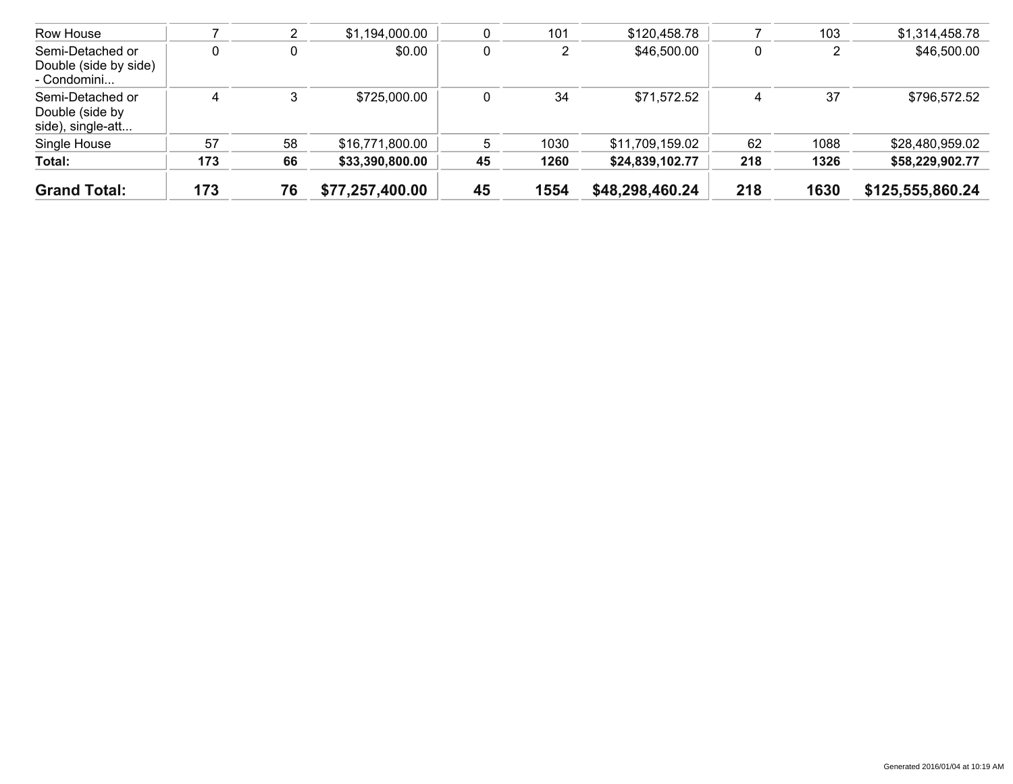| <b>Grand Total:</b>                                      | 173 | 76 | \$77,257,400.00 | 45 | 1554 | \$48,298,460.24 | 218 | 1630 | \$125,555,860.24 |
|----------------------------------------------------------|-----|----|-----------------|----|------|-----------------|-----|------|------------------|
| Total:                                                   | 173 | 66 | \$33,390,800.00 | 45 | 1260 | \$24,839,102.77 | 218 | 1326 | \$58,229,902.77  |
| Single House                                             | 57  | 58 | \$16,771,800.00 | 5  | 1030 | \$11,709,159.02 | 62  | 1088 | \$28,480,959.02  |
| Semi-Detached or<br>Double (side by<br>side), single-att | 4   |    | \$725,000.00    | 0  | 34   | \$71,572.52     | 4   | 37   | \$796,572.52     |
| Semi-Detached or<br>Double (side by side)<br>- Condomini | 0   |    | \$0.00          | 0  |      | \$46,500.00     | 0   |      | \$46,500.00      |
| Row House                                                |     | ∠  | \$1,194,000.00  |    | 101  | \$120,458.78    |     | 103  | \$1,314,458.78   |
|                                                          |     |    |                 |    |      |                 |     |      |                  |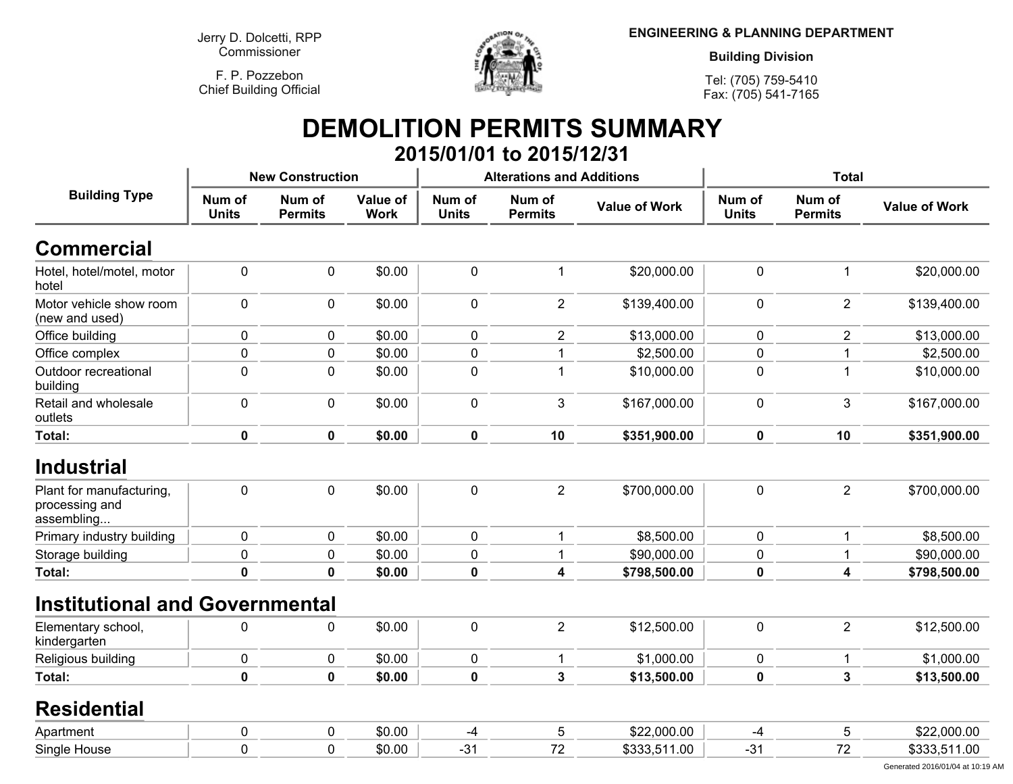**F. P. PozzebonChief Building Official**



**ENGINEERING & PLANNING DEPARTMENT**

**Building Division**

**Tel: (705) 759-5410Fax: (705) 541-7165**

#### **DEMOLITION PERMITS SUMMARY 2015/01/01 to 2015/12/31**

|                                                          |                        | <b>New Construction</b>  |                         |                        | <b>Alterations and Additions</b> |                      | <b>Total</b>           |                          |                      |
|----------------------------------------------------------|------------------------|--------------------------|-------------------------|------------------------|----------------------------------|----------------------|------------------------|--------------------------|----------------------|
| <b>Building Type</b>                                     | Num of<br><b>Units</b> | Num of<br><b>Permits</b> | Value of<br><b>Work</b> | Num of<br><b>Units</b> | Num of<br><b>Permits</b>         | <b>Value of Work</b> | Num of<br><b>Units</b> | Num of<br><b>Permits</b> | <b>Value of Work</b> |
| <b>Commercial</b>                                        |                        |                          |                         |                        |                                  |                      |                        |                          |                      |
| Hotel, hotel/motel, motor<br>hotel                       | $\mathbf 0$            | 0                        | \$0.00                  | $\mathbf 0$            | 1                                | \$20,000.00          | $\mathbf 0$            | 1                        | \$20,000.00          |
| Motor vehicle show room<br>(new and used)                | $\mathbf 0$            | 0                        | \$0.00                  | $\pmb{0}$              | $\overline{2}$                   | \$139,400.00         | $\pmb{0}$              | $\overline{2}$           | \$139,400.00         |
| Office building                                          | $\mathbf 0$            | 0                        | \$0.00                  | $\mathbf 0$            | 2                                | \$13,000.00          | $\mathbf 0$            | $\overline{\mathbf{c}}$  | \$13,000.00          |
| Office complex                                           | 0                      | 0                        | \$0.00                  | $\pmb{0}$              | 1                                | \$2,500.00           | $\mathbf 0$            | 1                        | \$2,500.00           |
| Outdoor recreational<br>building                         | $\pmb{0}$              | 0                        | \$0.00                  | 0                      | $\mathbf{1}$                     | \$10,000.00          | $\mathbf 0$            | $\overline{1}$           | \$10,000.00          |
| Retail and wholesale<br>outlets                          | $\pmb{0}$              | 0                        | \$0.00                  | $\pmb{0}$              | 3                                | \$167,000.00         | $\pmb{0}$              | $\mathbf{3}$             | \$167,000.00         |
| Total:                                                   | $\mathbf 0$            | $\mathbf 0$              | \$0.00                  | $\mathbf 0$            | 10                               | \$351,900.00         | $\mathbf 0$            | 10                       | \$351,900.00         |
| <b>Industrial</b>                                        |                        |                          |                         |                        |                                  |                      |                        |                          |                      |
| Plant for manufacturing,<br>processing and<br>assembling | $\pmb{0}$              | $\pmb{0}$                | \$0.00                  | $\pmb{0}$              | $\overline{2}$                   | \$700,000.00         | $\mathbf 0$            | $\overline{2}$           | \$700,000.00         |
| Primary industry building                                | $\pmb{0}$              | 0                        | \$0.00                  | $\pmb{0}$              | 1                                | \$8,500.00           | $\mathbf 0$            | $\overline{1}$           | \$8,500.00           |
| Storage building                                         | 0                      | 0                        | \$0.00                  | 0                      | 1                                | \$90,000.00          | $\mathbf 0$            | 1                        | \$90,000.00          |
| Total:                                                   | $\mathbf 0$            | $\mathbf 0$              | \$0.00                  | $\mathbf 0$            | 4                                | \$798,500.00         | $\mathbf 0$            | 4                        | \$798,500.00         |
| <b>Institutional and Governmental</b>                    |                        |                          |                         |                        |                                  |                      |                        |                          |                      |
| Elementary school,<br>kindergarten                       | $\mathbf 0$            | 0                        | \$0.00                  | $\pmb{0}$              | $\overline{2}$                   | \$12,500.00          | $\pmb{0}$              | $\overline{2}$           | \$12,500.00          |
| Religious building                                       | 0                      | 0                        | \$0.00                  | 0                      | $\mathbf{1}$                     | \$1,000.00           | $\pmb{0}$              | $\mathbf 1$              | \$1,000.00           |
| Total:                                                   | $\mathbf 0$            | $\mathbf 0$              | \$0.00                  | $\mathbf 0$            | 3                                | \$13,500.00          | $\mathbf 0$            | $\overline{3}$           | \$13,500.00          |
| <b>Residential</b>                                       |                        |                          |                         |                        |                                  |                      |                        |                          |                      |
| Apartment                                                | 0                      | 0                        | \$0.00                  | $-4$                   | 5                                | \$22,000.00          | -4                     | 5                        | \$22,000.00          |
| Single House                                             | $\mathbf 0$            | 0                        | \$0.00                  | $-31$                  | 72                               | \$333,511.00         | $-31$                  | 72                       | \$333,511.00         |

Generated 2016/01/04 at 10:19 AM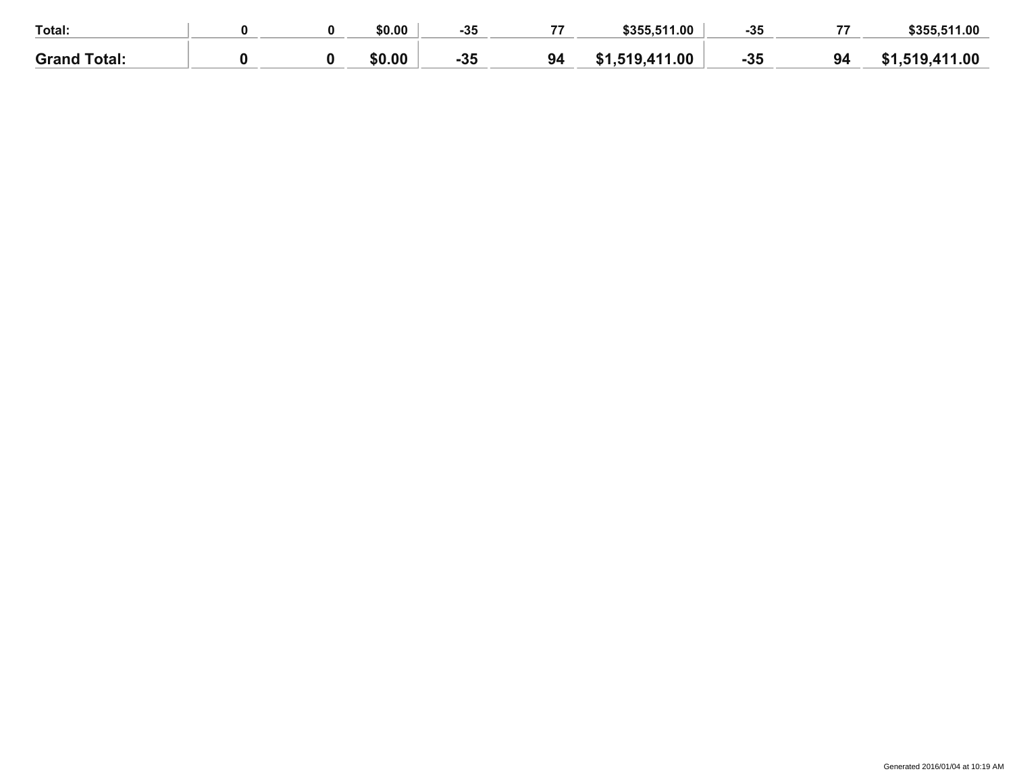| Total:              |  | \$0.00 | $-35$ | \$355,511.00                   | -35   | $\rightarrow$ | \$355,511.00 |
|---------------------|--|--------|-------|--------------------------------|-------|---------------|--------------|
| <b>Grand Total:</b> |  | \$0.00 | $-35$ | .519,411.00<br><b>C</b> 1<br>. | $-35$ | 94            | 519,411.00   |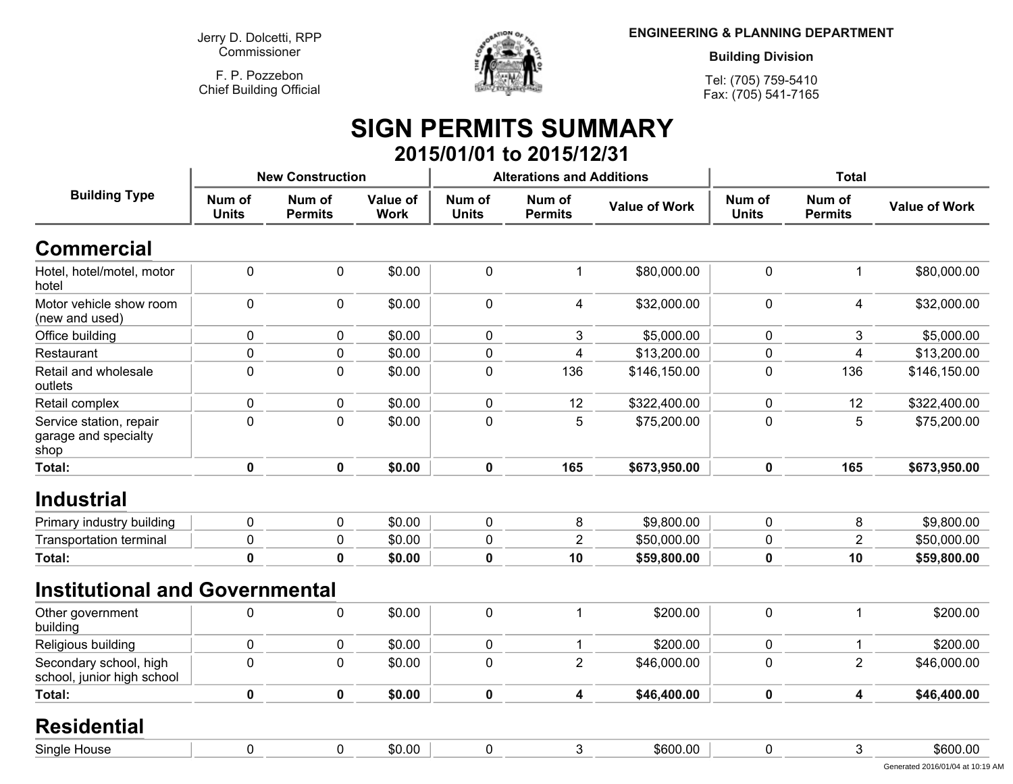**F. P. PozzebonChief Building Official**



**ENGINEERING & PLANNING DEPARTMENT**

**Building Division**

**Tel: (705) 759-5410Fax: (705) 541-7165**

# **SIGN PERMITS SUMMARY 2015/01/01 to 2015/12/31**

|                                                         |                        | <b>New Construction</b>  |                         |                        | <b>Alterations and Additions</b> |                      | <b>Total</b>           |                          |                      |
|---------------------------------------------------------|------------------------|--------------------------|-------------------------|------------------------|----------------------------------|----------------------|------------------------|--------------------------|----------------------|
| <b>Building Type</b>                                    | Num of<br><b>Units</b> | Num of<br><b>Permits</b> | Value of<br><b>Work</b> | Num of<br><b>Units</b> | Num of<br><b>Permits</b>         | <b>Value of Work</b> | Num of<br><b>Units</b> | Num of<br><b>Permits</b> | <b>Value of Work</b> |
| <b>Commercial</b>                                       |                        |                          |                         |                        |                                  |                      |                        |                          |                      |
| Hotel, hotel/motel, motor<br>hotel                      | 0                      | 0                        | \$0.00                  | $\pmb{0}$              | $\mathbf{1}$                     | \$80,000.00          | $\pmb{0}$              | $\mathbf 1$              | \$80,000.00          |
| Motor vehicle show room<br>(new and used)               | 0                      | $\mathbf 0$              | \$0.00                  | $\mathbf 0$            | 4                                | \$32,000.00          | $\mathbf 0$            | 4                        | \$32,000.00          |
| Office building                                         | 0                      | $\mathbf{0}$             | \$0.00                  | 0                      | 3                                | \$5,000.00           | $\mathbf 0$            | 3                        | \$5,000.00           |
| Restaurant                                              | 0                      | $\mathbf 0$              | \$0.00                  | $\pmb{0}$              | $\overline{4}$                   | \$13,200.00          | $\mathbf 0$            | 4                        | \$13,200.00          |
| Retail and wholesale<br>outlets                         | 0                      | 0                        | \$0.00                  | $\pmb{0}$              | 136                              | \$146,150.00         | $\pmb{0}$              | 136                      | \$146,150.00         |
| Retail complex                                          | 0                      | 0                        | \$0.00                  | $\pmb{0}$              | 12                               | \$322,400.00         | $\pmb{0}$              | 12                       | \$322,400.00         |
| Service station, repair<br>garage and specialty<br>shop | 0                      | $\mathbf 0$              | \$0.00                  | $\mathbf 0$            | 5                                | \$75,200.00          | $\mathbf 0$            | 5                        | \$75,200.00          |
| Total:                                                  | $\mathbf 0$            | $\mathbf 0$              | \$0.00                  | $\mathbf 0$            | 165                              | \$673,950.00         | $\mathbf 0$            | 165                      | \$673,950.00         |
| <b>Industrial</b>                                       |                        |                          |                         |                        |                                  |                      |                        |                          |                      |
| Primary industry building                               | 0                      | $\mathbf 0$              | \$0.00                  | $\mathbf 0$            | 8                                | \$9,800.00           | $\mathbf 0$            | 8                        | \$9,800.00           |
| <b>Transportation terminal</b>                          | 0                      | 0                        | \$0.00                  | $\pmb{0}$              | $\overline{2}$                   | \$50,000.00          | $\mathbf 0$            | $\overline{2}$           | \$50,000.00          |
| Total:                                                  | $\mathbf 0$            | $\mathbf{0}$             | \$0.00                  | $\mathbf 0$            | 10                               | \$59,800.00          | $\mathbf 0$            | 10                       | \$59,800.00          |
| <b>Institutional and Governmental</b>                   |                        |                          |                         |                        |                                  |                      |                        |                          |                      |
| Other government<br>building                            | 0                      | $\mathbf 0$              | \$0.00                  | $\pmb{0}$              | $\mathbf{1}$                     | \$200.00             | $\mathbf 0$            | $\overline{1}$           | \$200.00             |
| Religious building                                      | 0                      | 0                        | \$0.00                  | 0                      | -1                               | \$200.00             | $\mathbf 0$            | 1                        | \$200.00             |
| Secondary school, high<br>school, junior high school    | 0                      | $\mathbf 0$              | \$0.00                  | $\mathbf 0$            | $\overline{2}$                   | \$46,000.00          | $\mathbf 0$            | $\overline{2}$           | \$46,000.00          |
| Total:                                                  | $\mathbf 0$            | $\mathbf 0$              | \$0.00                  | $\mathbf 0$            | 4                                | \$46,400.00          | $\mathbf 0$            | 4                        | \$46,400.00          |
| <b>Residential</b>                                      |                        |                          |                         |                        |                                  |                      |                        |                          |                      |
| Single House                                            | 0                      | $\mathbf 0$              | \$0.00                  | $\mathbf 0$            | 3                                | \$600.00             | $\mathbf 0$            | 3                        | \$600.00             |
|                                                         |                        |                          |                         |                        |                                  |                      |                        |                          |                      |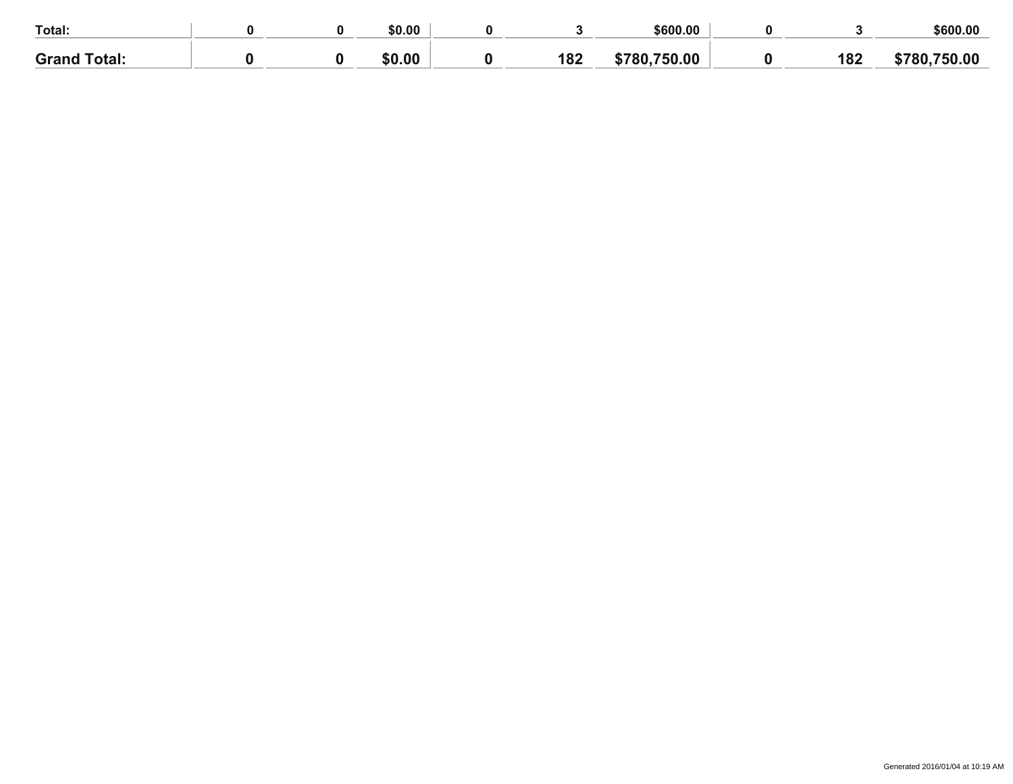| Total:                |  | \$0.00       |            | \$600.00 |            | \$600.00  |
|-----------------------|--|--------------|------------|----------|------------|-----------|
| <b>Grand</b><br>otal. |  | $\mathbf{a}$ | 400<br>IVA | .00      | 10C<br>104 | .00<br>50 |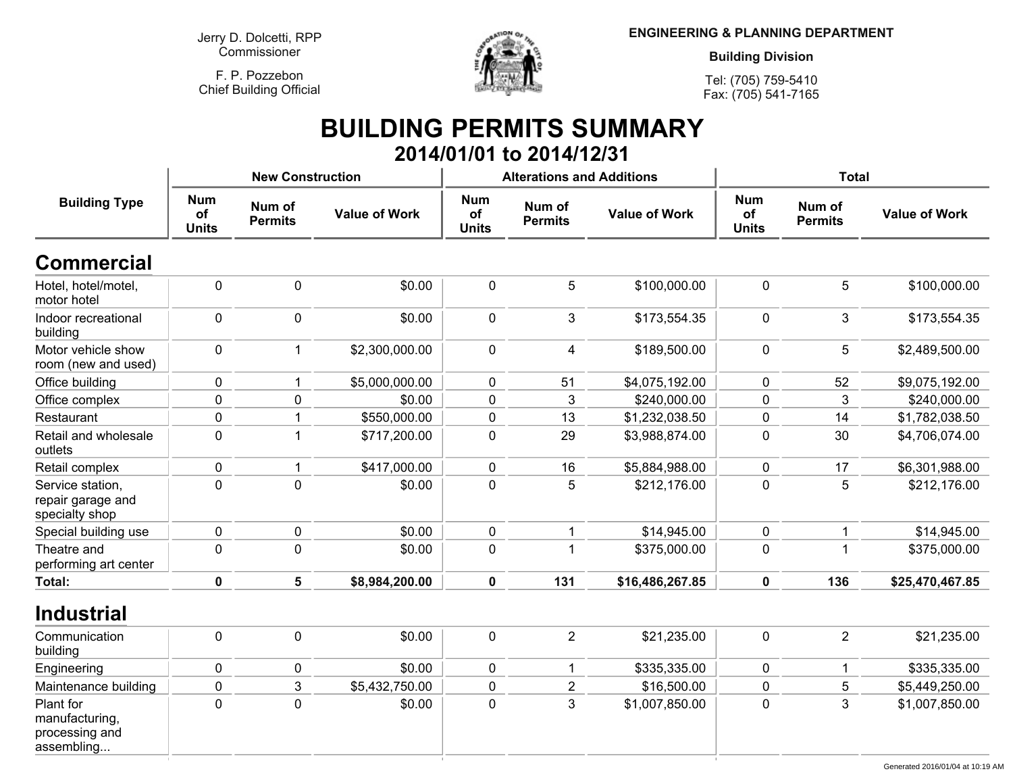**F. P. PozzebonChief Building Official**



**ENGINEERING & PLANNING DEPARTMENT**

**Building Division**

**Tel: (705) 759-5410Fax: (705) 541-7165**

# **BUILDING PERMITS SUMMARY 2014/01/01 to 2014/12/31**

|                                                             |                                  | <b>New Construction</b>  |                      |                                  | <b>Alterations and Additions</b> |                      | <b>Total</b>                     |                          |                      |  |
|-------------------------------------------------------------|----------------------------------|--------------------------|----------------------|----------------------------------|----------------------------------|----------------------|----------------------------------|--------------------------|----------------------|--|
| <b>Building Type</b>                                        | <b>Num</b><br>of<br><b>Units</b> | Num of<br><b>Permits</b> | <b>Value of Work</b> | <b>Num</b><br>of<br><b>Units</b> | Num of<br><b>Permits</b>         | <b>Value of Work</b> | <b>Num</b><br>of<br><b>Units</b> | Num of<br><b>Permits</b> | <b>Value of Work</b> |  |
| <b>Commercial</b>                                           |                                  |                          |                      |                                  |                                  |                      |                                  |                          |                      |  |
| Hotel, hotel/motel,<br>motor hotel                          | $\pmb{0}$                        | $\pmb{0}$                | \$0.00               | $\pmb{0}$                        | $\mathbf 5$                      | \$100,000.00         | $\pmb{0}$                        | 5                        | \$100,000.00         |  |
| Indoor recreational<br>building                             | $\pmb{0}$                        | $\mathbf 0$              | \$0.00               | $\pmb{0}$                        | 3                                | \$173,554.35         | $\pmb{0}$                        | 3                        | \$173,554.35         |  |
| Motor vehicle show<br>room (new and used)                   | $\pmb{0}$                        | $\mathbf 1$              | \$2,300,000.00       | $\mathbf 0$                      | 4                                | \$189,500.00         | $\mathbf 0$                      | 5                        | \$2,489,500.00       |  |
| Office building                                             | $\pmb{0}$                        |                          | \$5,000,000.00       | $\mathbf 0$                      | 51                               | \$4,075,192.00       | $\pmb{0}$                        | 52                       | \$9,075,192.00       |  |
| Office complex                                              | $\mathbf 0$                      | $\mathbf 0$              | \$0.00               | $\mathbf 0$                      | 3                                | \$240,000.00         | $\mathbf 0$                      | 3                        | \$240,000.00         |  |
| Restaurant                                                  | $\pmb{0}$                        |                          | \$550,000.00         | 0                                | 13                               | \$1,232,038.50       | $\mathbf 0$                      | 14                       | \$1,782,038.50       |  |
| Retail and wholesale<br>outlets                             | $\pmb{0}$                        | $\overline{1}$           | \$717,200.00         | $\pmb{0}$                        | 29                               | \$3,988,874.00       | $\pmb{0}$                        | 30                       | \$4,706,074.00       |  |
| Retail complex                                              | $\pmb{0}$                        | $\mathbf 1$              | \$417,000.00         | $\mathbf 0$                      | 16                               | \$5,884,988.00       | $\pmb{0}$                        | 17                       | \$6,301,988.00       |  |
| Service station,<br>repair garage and<br>specialty shop     | $\mathbf 0$                      | $\mathbf 0$              | \$0.00               | $\mathbf 0$                      | 5                                | \$212,176.00         | $\mathbf 0$                      | 5                        | \$212,176.00         |  |
| Special building use                                        | $\pmb{0}$                        | $\pmb{0}$                | \$0.00               | $\mathbf 0$                      | $\mathbf 1$                      | \$14,945.00          | $\mathbf 0$                      | $\mathbf 1$              | \$14,945.00          |  |
| Theatre and<br>performing art center                        | $\mathbf 0$                      | $\mathbf 0$              | \$0.00               | $\mathbf 0$                      |                                  | \$375,000.00         | $\mathbf 0$                      | 1                        | \$375,000.00         |  |
| <b>Total:</b>                                               | $\pmb{0}$                        | 5                        | \$8,984,200.00       | $\mathbf 0$                      | 131                              | \$16,486,267.85      | $\mathbf 0$                      | 136                      | \$25,470,467.85      |  |
| <b>Industrial</b>                                           |                                  |                          |                      |                                  |                                  |                      |                                  |                          |                      |  |
| Communication<br>building                                   | $\pmb{0}$                        | $\pmb{0}$                | \$0.00               | $\mathbf 0$                      | $\overline{2}$                   | \$21,235.00          | $\mathbf 0$                      | $\overline{2}$           | \$21,235.00          |  |
| Engineering                                                 | $\pmb{0}$                        | $\pmb{0}$                | \$0.00               | $\pmb{0}$                        | 1                                | \$335,335.00         | $\pmb{0}$                        |                          | \$335,335.00         |  |
| Maintenance building                                        | $\pmb{0}$                        | $\mathsf 3$              | \$5,432,750.00       | 0                                | $\mathbf 2$                      | \$16,500.00          | $\pmb{0}$                        | 5                        | \$5,449,250.00       |  |
| Plant for<br>manufacturing,<br>processing and<br>assembling | $\mathbf 0$                      | $\mathbf 0$              | \$0.00               | $\mathbf 0$                      | 3                                | \$1,007,850.00       | $\mathbf 0$                      | 3                        | \$1,007,850.00       |  |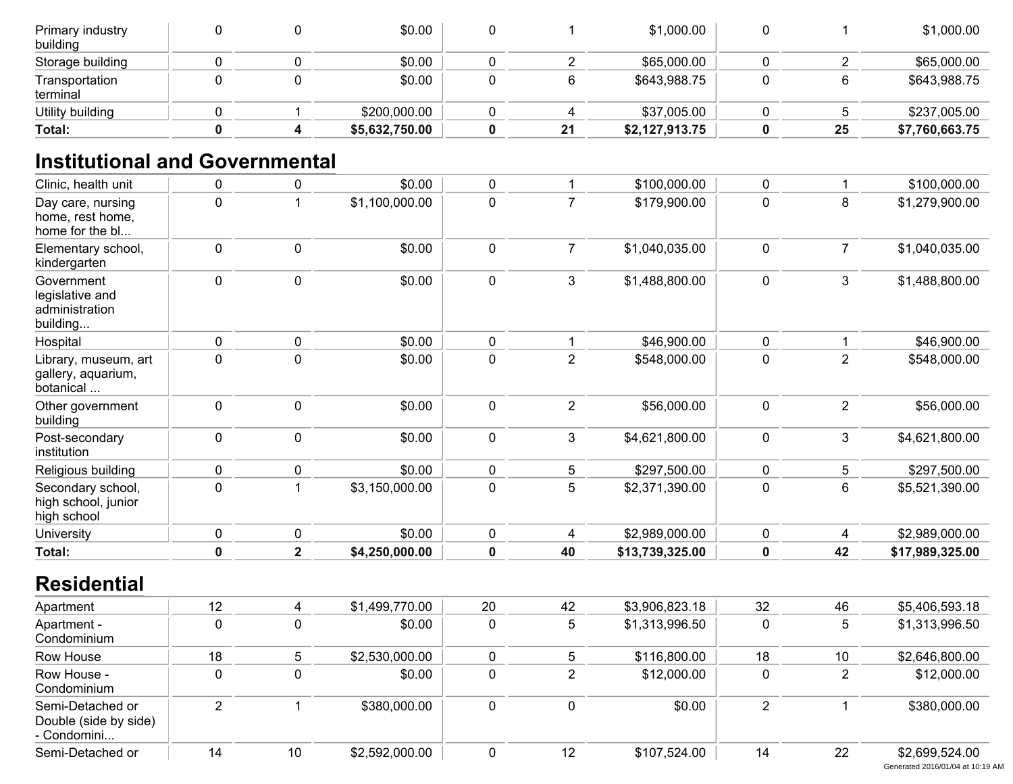| Primary industry<br>building |  | \$0.00         |    | \$1,000.00     |    | \$1,000.00     |
|------------------------------|--|----------------|----|----------------|----|----------------|
| Storage building             |  | \$0.00         |    | \$65,000.00    |    | \$65,000.00    |
| Transportation<br>terminal   |  | \$0.00         |    | \$643,988.75   |    | \$643,988.75   |
| Utility building             |  | \$200,000.00   |    | \$37,005.00    |    | \$237,005.00   |
| Total:                       |  | \$5,632,750.00 | 21 | \$2,127,913.75 | 25 | \$7,760,663.75 |

# **Institutional and Governmental**

| Clinic, health unit                                         | $\pmb{0}$      | $\pmb{0}$               | \$0.00         | $\pmb{0}$   | 1              | \$100,000.00    | $\pmb{0}$      | $\mathbf{1}$   | \$100,000.00    |
|-------------------------------------------------------------|----------------|-------------------------|----------------|-------------|----------------|-----------------|----------------|----------------|-----------------|
| Day care, nursing<br>home, rest home,<br>home for the bl    | $\mathbf 0$    | $\mathbf 1$             | \$1,100,000.00 | $\mathbf 0$ | $\overline{7}$ | \$179,900.00    | $\mathbf 0$    | 8              | \$1,279,900.00  |
| Elementary school,<br>kindergarten                          | $\pmb{0}$      | $\mathbf 0$             | \$0.00         | $\mathbf 0$ | $\overline{7}$ | \$1,040,035.00  | $\pmb{0}$      | $\overline{7}$ | \$1,040,035.00  |
| Government<br>legislative and<br>administration<br>building | $\pmb{0}$      | $\pmb{0}$               | \$0.00         | 0           | 3              | \$1,488,800.00  | $\pmb{0}$      | 3              | \$1,488,800.00  |
| Hospital                                                    | $\pmb{0}$      | $\pmb{0}$               | \$0.00         | $\mathbf 0$ | $\mathbf{1}$   | \$46,900.00     | $\pmb{0}$      | $\mathbf{1}$   | \$46,900.00     |
| Library, museum, art<br>gallery, aquarium,<br>botanical     | $\mathbf 0$    | $\mathbf 0$             | \$0.00         | $\mathbf 0$ | $\overline{2}$ | \$548,000.00    | $\mathbf 0$    | $\overline{2}$ | \$548,000.00    |
| Other government<br>building                                | $\mathbf 0$    | $\mathbf 0$             | \$0.00         | $\mathbf 0$ | $\overline{2}$ | \$56,000.00     | $\pmb{0}$      | $\overline{2}$ | \$56,000.00     |
| Post-secondary<br>institution                               | $\pmb{0}$      | $\pmb{0}$               | \$0.00         | $\mathbf 0$ | 3              | \$4,621,800.00  | $\pmb{0}$      | 3              | \$4,621,800.00  |
| Religious building                                          | $\pmb{0}$      | $\mathbf 0$             | \$0.00         | $\mathbf 0$ | 5              | \$297,500.00    | $\mathbf 0$    | 5              | \$297,500.00    |
| Secondary school,<br>high school, junior<br>high school     | $\pmb{0}$      | $\mathbf{1}$            | \$3,150,000.00 | $\pmb{0}$   | 5              | \$2,371,390.00  | $\pmb{0}$      | 6              | \$5,521,390.00  |
| University                                                  | $\pmb{0}$      | $\pmb{0}$               | \$0.00         | $\pmb{0}$   | 4              | \$2,989,000.00  | $\pmb{0}$      | 4              | \$2,989,000.00  |
| <b>Total:</b>                                               | $\pmb{0}$      | $\overline{\mathbf{2}}$ | \$4,250,000.00 | $\mathbf 0$ | 40             | \$13,739,325.00 | $\pmb{0}$      | 42             | \$17,989,325.00 |
| <b>Residential</b>                                          |                |                         |                |             |                |                 |                |                |                 |
| Apartment                                                   | 12             | 4                       | \$1,499,770.00 | 20          | 42             | \$3,906,823.18  | 32             | 46             | \$5,406,593.18  |
| Apartment -<br>Condominium                                  | $\mathbf 0$    | $\pmb{0}$               | \$0.00         | $\mathbf 0$ | 5              | \$1,313,996.50  | $\pmb{0}$      | 5              | \$1,313,996.50  |
| Row House                                                   | 18             | 5                       | \$2,530,000.00 | $\mathbf 0$ | 5              | \$116,800.00    | 18             | 10             | \$2,646,800.00  |
| Row House -<br>Condominium                                  | $\pmb{0}$      | $\mathbf 0$             | \$0.00         | $\mathbf 0$ | $\overline{2}$ | \$12,000.00     | $\pmb{0}$      | $\overline{2}$ | \$12,000.00     |
| Semi-Detached or<br>Double (side by side)<br>- Condomini    | $\overline{2}$ | $\mathbf{1}$            | \$380,000.00   | 0           | 0              | \$0.00          | $\overline{2}$ | $\mathbf{1}$   | \$380,000.00    |
| Semi-Detached or                                            | 14             | 10                      | \$2,592,000.00 | $\mathbf 0$ | 12             | \$107,524.00    | 14             | 22             | \$2,699,524.00  |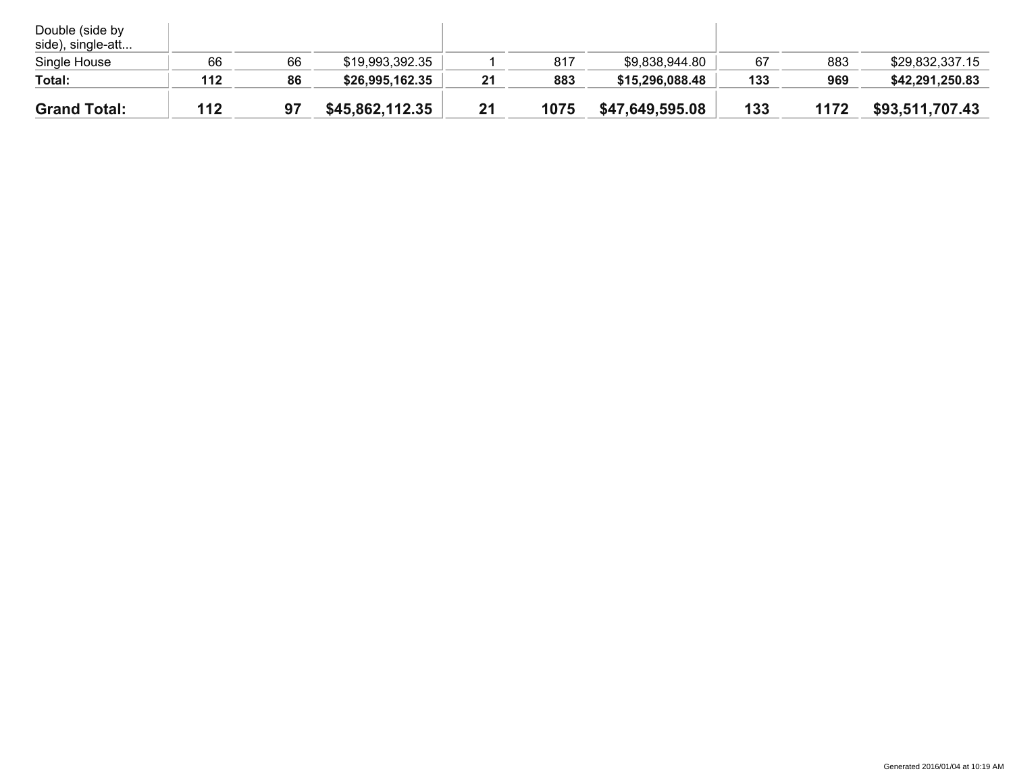| Double (side by<br>side), single-att |     |    |                 |    |      |                 |     |      |                 |
|--------------------------------------|-----|----|-----------------|----|------|-----------------|-----|------|-----------------|
| Single House                         | 66  | 66 | \$19,993,392.35 |    | 817  | \$9,838,944.80  | 67  | 883  | \$29,832,337.15 |
| Total:                               | 112 | 86 | \$26,995,162.35 | 21 | 883  | \$15,296,088.48 | 133 | 969  | \$42,291,250.83 |
| <b>Grand Total:</b>                  | 112 | 97 | \$45,862,112.35 | 21 | 1075 | \$47,649,595.08 | 133 | 1172 | \$93,511,707.43 |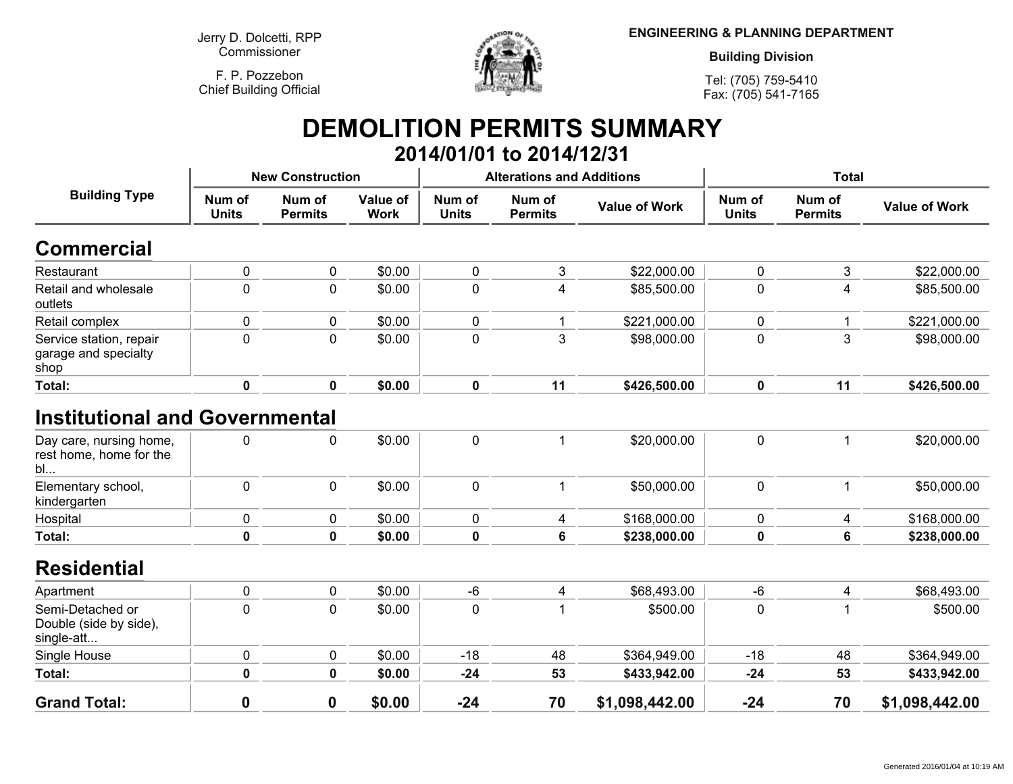**F. P. PozzebonChief Building Official**



**ENGINEERING & PLANNING DEPARTMENT**

**Building Division**

**Tel: (705) 759-5410Fax: (705) 541-7165**

### **DEMOLITION PERMITS SUMMARY 2014/01/01 to 2014/12/31**

| <b>Building Type</b>                                                                        | <b>New Construction</b> |                          |                         |                        | <b>Alterations and Additions</b> |                      | <b>Total</b>           |                          |                      |
|---------------------------------------------------------------------------------------------|-------------------------|--------------------------|-------------------------|------------------------|----------------------------------|----------------------|------------------------|--------------------------|----------------------|
|                                                                                             | Num of<br><b>Units</b>  | Num of<br><b>Permits</b> | Value of<br><b>Work</b> | Num of<br><b>Units</b> | Num of<br><b>Permits</b>         | <b>Value of Work</b> | Num of<br><b>Units</b> | Num of<br><b>Permits</b> | <b>Value of Work</b> |
| <b>Commercial</b>                                                                           |                         |                          |                         |                        |                                  |                      |                        |                          |                      |
| Restaurant                                                                                  | $\pmb{0}$               | 0                        | \$0.00                  | $\pmb{0}$              | 3                                | \$22,000.00          | 0                      | 3                        | \$22,000.00          |
| Retail and wholesale<br>outlets                                                             | $\mathbf 0$             | $\mathbf 0$              | \$0.00                  | $\mathbf 0$            | 4                                | \$85,500.00          | 0                      | 4                        | \$85,500.00          |
| Retail complex                                                                              | $\mathbf 0$             | 0                        | \$0.00                  | $\mathbf 0$            | 1                                | \$221,000.00         | 0                      | 1                        | \$221,000.00         |
| Service station, repair<br>garage and specialty<br>shop                                     | $\pmb{0}$               | 0                        | \$0.00                  | $\pmb{0}$              | 3                                | \$98,000.00          | 0                      | 3                        | \$98,000.00          |
| Total:                                                                                      | $\mathbf 0$             | $\mathbf 0$              | \$0.00                  | $\mathbf 0$            | 11                               | \$426,500.00         | $\mathbf 0$            | 11                       | \$426,500.00         |
| <b>Institutional and Governmental</b><br>Day care, nursing home,<br>rest home, home for the | 0                       | $\mathbf 0$              | \$0.00                  | $\pmb{0}$              | 1                                | \$20,000.00          | 0                      |                          | \$20,000.00          |
| bl<br>Elementary school,<br>kindergarten                                                    | $\mathbf 0$             | $\mathbf 0$              | \$0.00                  | $\mathbf 0$            | 1                                | \$50,000.00          | $\mathbf 0$            | 1                        | \$50,000.00          |
| Hospital                                                                                    | $\pmb{0}$               | 0                        | \$0.00                  | $\pmb{0}$              | 4                                | \$168,000.00         | 0                      | 4                        | \$168,000.00         |
| Total:                                                                                      | $\mathbf 0$             | $\mathbf 0$              | \$0.00                  | $\mathbf 0$            | $6\phantom{1}$                   | \$238,000.00         | 0                      | 6                        | \$238,000.00         |
| <b>Residential</b>                                                                          |                         |                          |                         |                        |                                  |                      |                        |                          |                      |
| Apartment                                                                                   | $\pmb{0}$               | $\mathbf 0$              | \$0.00                  | $-6$                   | 4                                | \$68,493.00          | -6                     | 4                        | \$68,493.00          |
| Semi-Detached or<br>Double (side by side),<br>single-att                                    | $\mathbf 0$             | $\mathbf 0$              | \$0.00                  | $\mathbf 0$            | 1                                | \$500.00             | $\mathbf 0$            |                          | \$500.00             |
| Single House                                                                                | $\pmb{0}$               | $\pmb{0}$                | \$0.00                  | $-18$                  | 48                               | \$364,949.00         | $-18$                  | 48                       | \$364,949.00         |
| Total:                                                                                      | $\mathbf 0$             | $\mathbf 0$              | \$0.00                  | $-24$                  | 53                               | \$433,942.00         | $-24$                  | 53                       | \$433,942.00         |
| <b>Grand Total:</b>                                                                         | $\bf{0}$                | 0                        | \$0.00                  | $-24$                  | 70                               | \$1,098,442.00       | $-24$                  | 70                       | \$1,098,442.00       |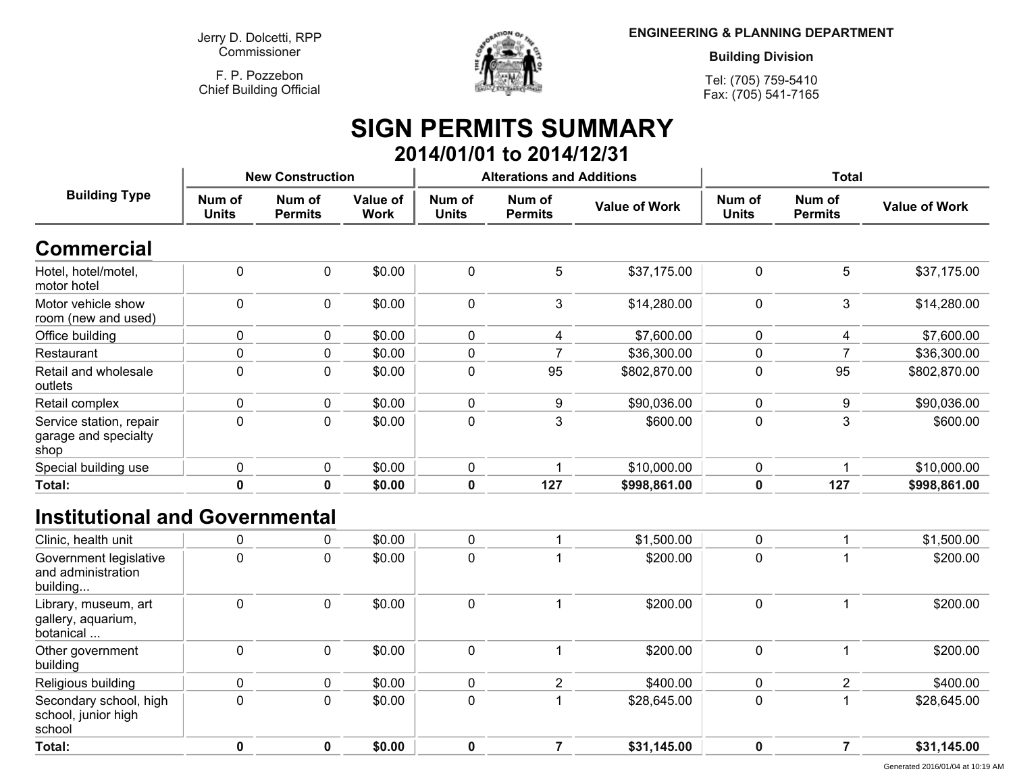**F. P. PozzebonChief Building Official**



**ENGINEERING & PLANNING DEPARTMENT**

**Building Division**

**Tel: (705) 759-5410Fax: (705) 541-7165**

# **SIGN PERMITS SUMMARY 2014/01/01 to 2014/12/31**

| <b>Building Type</b>                                    | <b>New Construction</b> |                          |                         |                        | <b>Alterations and Additions</b> |                      | <b>Total</b>           |                          |                      |
|---------------------------------------------------------|-------------------------|--------------------------|-------------------------|------------------------|----------------------------------|----------------------|------------------------|--------------------------|----------------------|
|                                                         | Num of<br><b>Units</b>  | Num of<br><b>Permits</b> | Value of<br><b>Work</b> | Num of<br><b>Units</b> | Num of<br><b>Permits</b>         | <b>Value of Work</b> | Num of<br><b>Units</b> | Num of<br><b>Permits</b> | <b>Value of Work</b> |
| <b>Commercial</b>                                       |                         |                          |                         |                        |                                  |                      |                        |                          |                      |
| Hotel, hotel/motel,<br>motor hotel                      | 0                       | 0                        | \$0.00                  | $\mathbf 0$            | 5                                | \$37,175.00          | $\mathbf{0}$           | 5                        | \$37,175.00          |
| Motor vehicle show<br>room (new and used)               | $\Omega$                | 0                        | \$0.00                  | $\mathbf 0$            | 3                                | \$14,280.00          | $\Omega$               | 3                        | \$14,280.00          |
| Office building                                         | 0                       | 0                        | \$0.00                  | $\mathbf 0$            | 4                                | \$7,600.00           | $\Omega$               | 4                        | \$7,600.00           |
| Restaurant                                              | 0                       | 0                        | \$0.00                  | $\mathbf 0$            |                                  | \$36,300.00          | $\mathbf 0$            |                          | \$36,300.00          |
| Retail and wholesale<br>outlets                         | 0                       | 0                        | \$0.00                  | $\mathbf 0$            | 95                               | \$802,870.00         | $\Omega$               | 95                       | \$802,870.00         |
| Retail complex                                          | 0                       | 0                        | \$0.00                  | 0                      | 9                                | \$90,036.00          | $\Omega$               | 9                        | \$90,036.00          |
| Service station, repair<br>garage and specialty<br>shop | 0                       | 0                        | \$0.00                  | 0                      | 3                                | \$600.00             | 0                      | 3                        | \$600.00             |
| Special building use                                    | 0                       | 0                        | \$0.00                  | 0                      |                                  | \$10,000.00          | $\Omega$               |                          | \$10,000.00          |
| Total:                                                  | 0                       | $\mathbf 0$              | \$0.00                  | $\mathbf 0$            | 127                              | \$998,861.00         | 0                      | 127                      | \$998,861.00         |

# **Institutional and Governmental**

| Clinic, health unit                                      | 0 | 0 | \$0.00 |   | \$1,500.00  | 0 | \$1,500.00  |
|----------------------------------------------------------|---|---|--------|---|-------------|---|-------------|
| Government legislative<br>and administration<br>building | 0 | 0 | \$0.00 | 0 | \$200.00    | 0 | \$200.00    |
| Library, museum, art<br>gallery, aquarium,<br>botanical  | 0 | 0 | \$0.00 | 0 | \$200.00    | 0 | \$200.00    |
| Other government<br>building                             | 0 | 0 | \$0.00 | 0 | \$200.00    | 0 | \$200.00    |
| Religious building                                       |   | 0 | \$0.00 |   | \$400.00    |   | \$400.00    |
| Secondary school, high<br>school, junior high<br>school  | 0 | 0 | \$0.00 | 0 | \$28,645.00 | 0 | \$28,645.00 |
| Total:                                                   | 0 | 0 | \$0.00 | 0 | \$31,145.00 | 0 | \$31,145.00 |